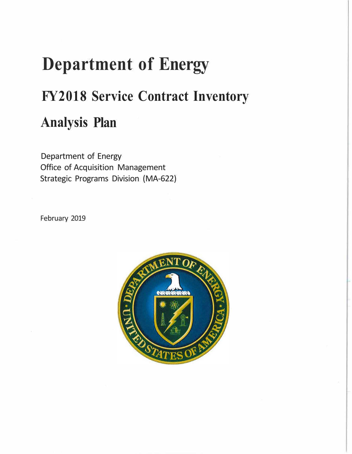## **Department of Energy FY2018 Service Contract Inventory**

## **Analysis Plan**

Department of Energy Office of Acquisition Management Strategic Programs Division (MA-622)

February 2019